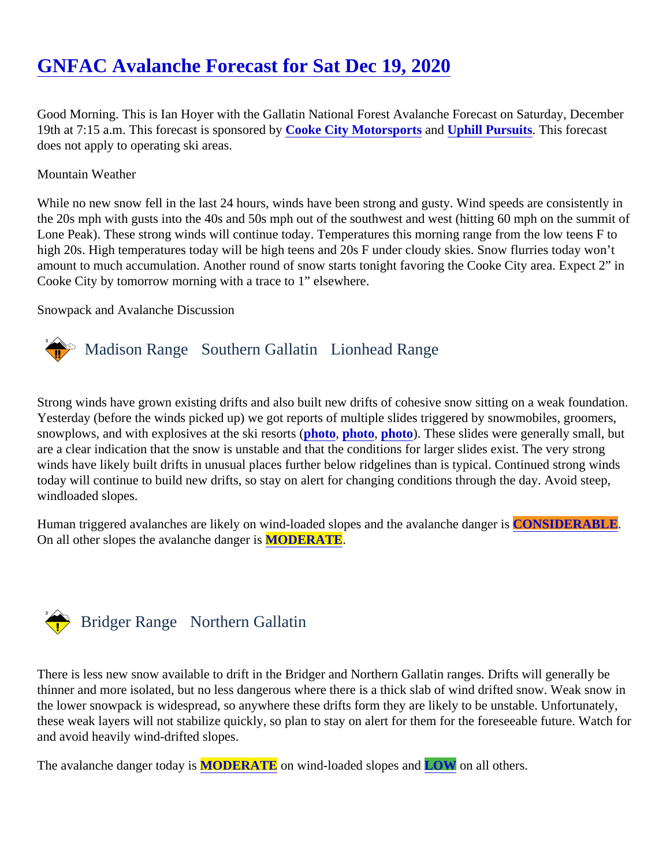# [GNFAC Avalanche Forecast for Sat Dec 19, 202](https://www.mtavalanche.com/forecast/20/12/19)0

Good Morning. This is Ian Hoyer with the Gallatin National Forest Avalanche Forecast on Saturday, December 19th at 7:15 a.m. This forecast is sponsore C by ke City Motorsports and [Uphill Pursuits.](http://uphillpursuits.com/index.html) This forecast does not apply to operating ski areas.

#### Mountain Weather

While no new snow fell in the last 24 hours, winds have been strong and gusty. Wind speeds are consistently the 20s mph with gusts into the 40s and 50s mph out of the southwest and west (hitting 60 mph on the summ Lone Peak). These strong winds will continue today. Temperatures this morning range from the low teens F to high 20s. High temperatures today will be high teens and 20s F under cloudy skies. Snow flurries today won't amount to much accumulation. Another round of snow starts tonight favoring the Cooke City area. Expect 2" i Cooke City by tomorrow morning with a trace to 1" elsewhere.

#### Snowpack and Avalanche Discussion

### Madison Range Southern Gallatin Lionhead Range

Strong winds have grown existing drifts and also built new drifts of cohesive snow sitting on a weak foundatio Yesterday (before the winds picked up) we got reports of multiple slides triggered by snowmobiles, groomers, snowplows, and with explosives at the ski resorts (o, [photo](https://www.mtavalanche.com/images/20/groomer-triggered-road-cuts), [photo](https://www.mtavalanche.com/images/20/small-snowmobile-triggered-slides-cabin-creek)). These slides were generally small, but are a clear indication that the snow is unstable and that the conditions for larger slides exist. The very strong winds have likely built drifts in unusual places further below ridgelines than is typical. Continued strong winds today will continue to build new drifts, so stay on alert for changing conditions through the day. Avoid steep, windloaded slopes.

Human triggered avalanches are likely on wind-loaded slopes and the avalanche **CONSIDERABLE**. On all other slopes the avalanche dang**MODERATE**.

### Bridger Range Northern Gallatin

There is less new snow available to drift in the Bridger and Northern Gallatin ranges. Drifts will generally be thinner and more isolated, but no less dangerous where there is a thick slab of wind drifted snow. Weak snow the lower snowpack is widespread, so anywhere these drifts form they are likely to be unstable. Unfortunately, these weak layers will not stabilize quickly, so plan to stay on alert for them for the foreseeable future. Watch and avoid heavily wind-drifted slopes.

The avalanche danger today MODERATE on wind-loaded slopes all OW on all others.